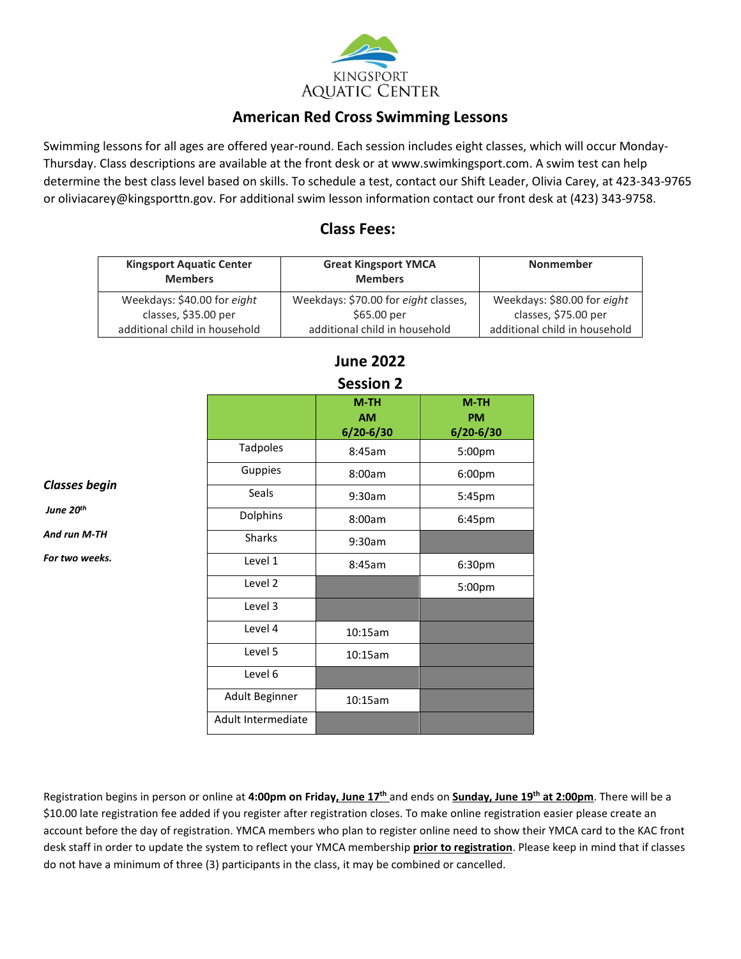

## **American Red Cross Swimming Lessons**

Swimming lessons for all ages are offered year-round. Each session includes eight classes, which will occur Monday-Thursday. Class descriptions are available at the front desk or a[t www.swimkingsport.com.](http://www.swimkingsport.com/) A swim test can help determine the best class level based on skills. To schedule a test, contact our Shift Leader, Olivia Carey, at 423-343-9765 or oliviacarey@kingsporttn.gov. For additional swim lesson information contact our front desk at (423) 343-9758.

# **Class Fees:**

| <b>Kingsport Aquatic Center</b><br><b>Members</b> | <b>Great Kingsport YMCA</b><br><b>Members</b> | <b>Nonmember</b>              |
|---------------------------------------------------|-----------------------------------------------|-------------------------------|
| Weekdays: \$40.00 for eight                       | Weekdays: \$70.00 for eight classes,          | Weekdays: \$80.00 for eight   |
| classes, \$35.00 per                              | \$65.00 per                                   | classes, \$75.00 per          |
| additional child in household                     | additional child in household                 | additional child in household |

|                                   |                    | <b>Session 2</b>                   |                                      |  |
|-----------------------------------|--------------------|------------------------------------|--------------------------------------|--|
|                                   |                    | M-TH<br><b>AM</b><br>$6/20 - 6/30$ | $M-TH$<br><b>PM</b><br>$6/20 - 6/30$ |  |
|                                   | <b>Tadpoles</b>    | 8:45am                             | 5:00pm                               |  |
| <b>Classes begin</b><br>June 20th | Guppies            | 8:00am                             | 6:00pm                               |  |
|                                   | Seals              | 9:30am                             | 5:45pm                               |  |
|                                   | Dolphins           | 8:00am                             | 6:45pm                               |  |
| And run M-TH                      | Sharks             | 9:30am                             |                                      |  |
| For two weeks.                    | Level 1            | 8:45am                             | 6:30pm                               |  |
|                                   | Level 2            |                                    | 5:00pm                               |  |
|                                   | Level 3            |                                    |                                      |  |
|                                   | Level 4            | 10:15am                            |                                      |  |
|                                   | Level 5            | 10:15am                            |                                      |  |
|                                   | Level 6            |                                    |                                      |  |
|                                   | Adult Beginner     | 10:15am                            |                                      |  |
|                                   | Adult Intermediate |                                    |                                      |  |

# **June 2022**

Registration begins in person or online at **4:00pm on Friday, June 17th** and ends on **Sunday, June 19th at 2:00pm**. There will be a \$10.00 late registration fee added if you register after registration closes. To make online registration easier please create an account before the day of registration. YMCA members who plan to register online need to show their YMCA card to the KAC front desk staff in order to update the system to reflect your YMCA membership **prior to registration**. Please keep in mind that if classes do not have a minimum of three (3) participants in the class, it may be combined or cancelled.